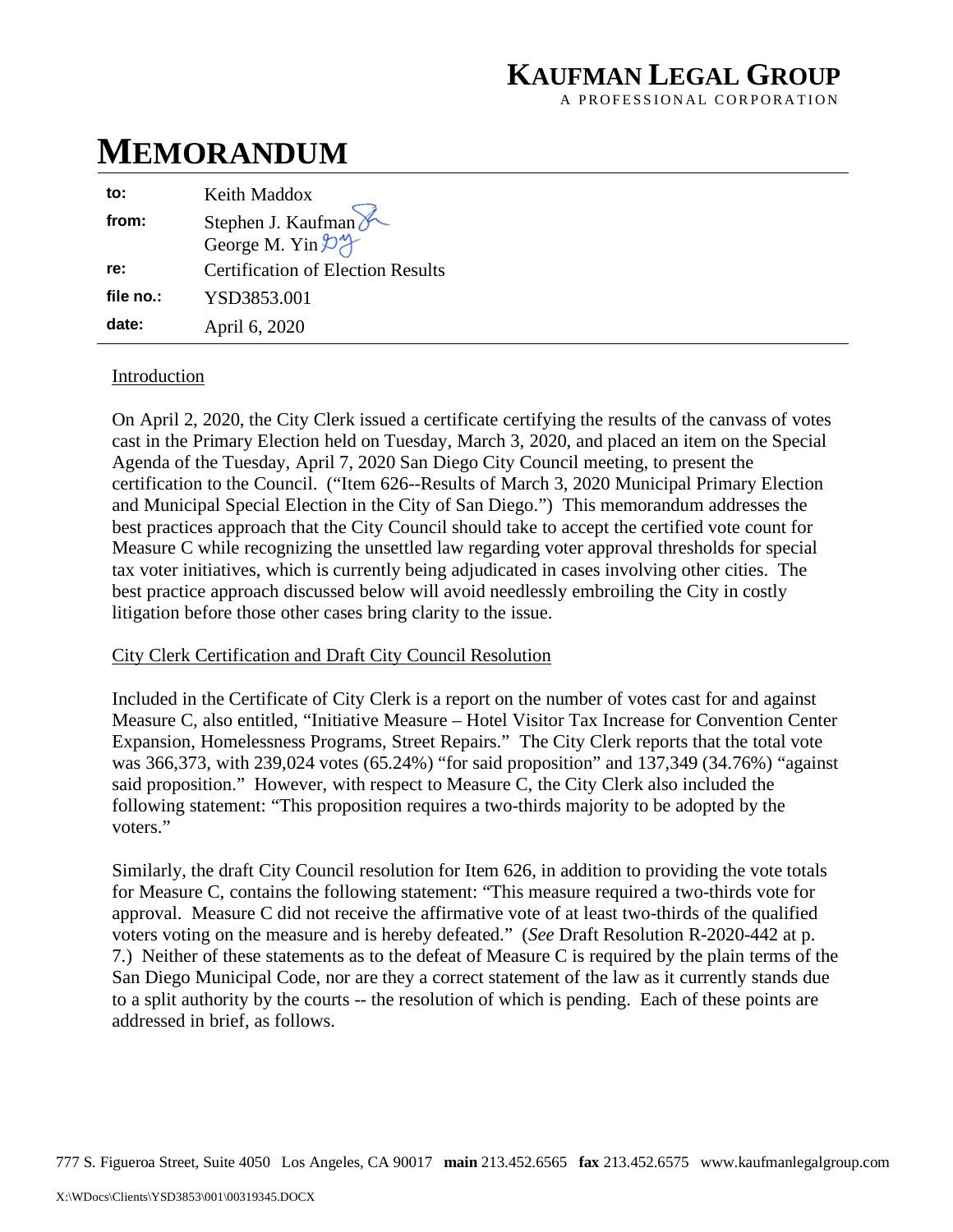## **KAUFMAN LEGAL GROUP**

A PROFESSIONAL CORPORATION

# **MEMORANDUM**

| to:       | Keith Maddox                             |
|-----------|------------------------------------------|
| from:     | Stephen J. Kaufman                       |
|           | George M. Yin 24                         |
| re:       | <b>Certification of Election Results</b> |
| file no.: | YSD3853.001                              |
| date:     | April 6, 2020                            |

## Introduction

On April 2, 2020, the City Clerk issued a certificate certifying the results of the canvass of votes cast in the Primary Election held on Tuesday, March 3, 2020, and placed an item on the Special Agenda of the Tuesday, April 7, 2020 San Diego City Council meeting, to present the certification to the Council. ("Item 626--Results of March 3, 2020 Municipal Primary Election and Municipal Special Election in the City of San Diego.") This memorandum addresses the best practices approach that the City Council should take to accept the certified vote count for Measure C while recognizing the unsettled law regarding voter approval thresholds for special tax voter initiatives, which is currently being adjudicated in cases involving other cities. The best practice approach discussed below will avoid needlessly embroiling the City in costly litigation before those other cases bring clarity to the issue.

## City Clerk Certification and Draft City Council Resolution

Included in the Certificate of City Clerk is a report on the number of votes cast for and against Measure C, also entitled, "Initiative Measure – Hotel Visitor Tax Increase for Convention Center Expansion, Homelessness Programs, Street Repairs." The City Clerk reports that the total vote was 366,373, with 239,024 votes (65.24%) "for said proposition" and 137,349 (34.76%) "against said proposition." However, with respect to Measure C, the City Clerk also included the following statement: "This proposition requires a two-thirds majority to be adopted by the voters."

Similarly, the draft City Council resolution for Item 626, in addition to providing the vote totals for Measure C, contains the following statement: "This measure required a two-thirds vote for approval. Measure C did not receive the affirmative vote of at least two-thirds of the qualified voters voting on the measure and is hereby defeated." (*See* Draft Resolution R-2020-442 at p. 7.) Neither of these statements as to the defeat of Measure C is required by the plain terms of the San Diego Municipal Code, nor are they a correct statement of the law as it currently stands due to a split authority by the courts -- the resolution of which is pending. Each of these points are addressed in brief, as follows.

777 S. Figueroa Street, Suite 4050 Los Angeles, CA 90017 **main** 213.452.6565 **fax** 213.452.6575 www.kaufmanlegalgroup.com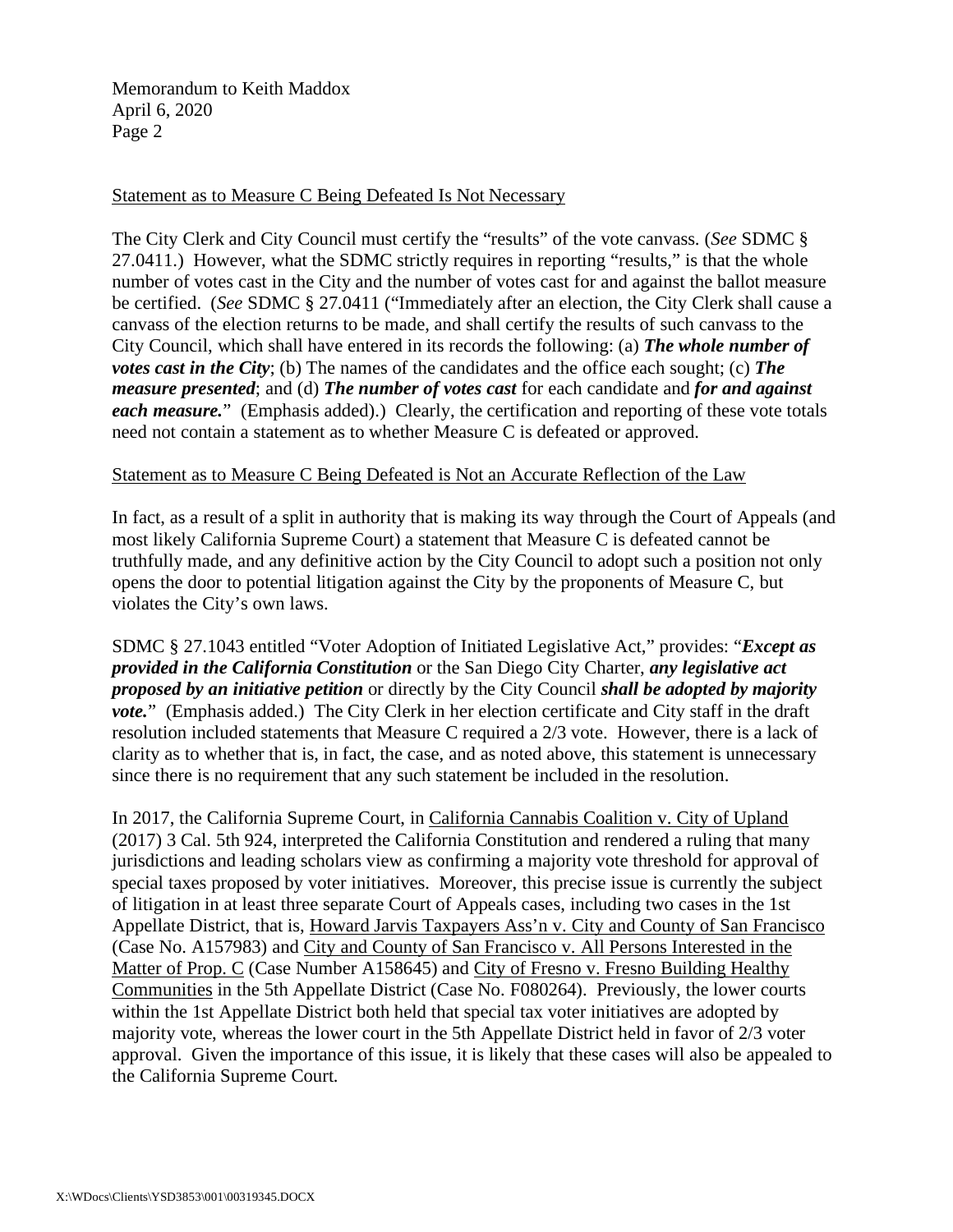Memorandum to Keith Maddox April 6, 2020 Page 2

### Statement as to Measure C Being Defeated Is Not Necessary

The City Clerk and City Council must certify the "results" of the vote canvass. (*See* SDMC § 27.0411.) However, what the SDMC strictly requires in reporting "results," is that the whole number of votes cast in the City and the number of votes cast for and against the ballot measure be certified. (*See* SDMC § 27.0411 ("Immediately after an election, the City Clerk shall cause a canvass of the election returns to be made, and shall certify the results of such canvass to the City Council, which shall have entered in its records the following: (a) *The whole number of votes cast in the City*; (b) The names of the candidates and the office each sought; (c) The *measure presented*; and (d) *The number of votes cast* for each candidate and *for and against each measure.*" (Emphasis added).) Clearly, the certification and reporting of these vote totals need not contain a statement as to whether Measure C is defeated or approved.

#### Statement as to Measure C Being Defeated is Not an Accurate Reflection of the Law

In fact, as a result of a split in authority that is making its way through the Court of Appeals (and most likely California Supreme Court) a statement that Measure C is defeated cannot be truthfully made, and any definitive action by the City Council to adopt such a position not only opens the door to potential litigation against the City by the proponents of Measure C, but violates the City's own laws.

SDMC § 27.1043 entitled "Voter Adoption of Initiated Legislative Act," provides: "*Except as provided in the California Constitution* or the San Diego City Charter, *any legislative act proposed by an initiative petition* or directly by the City Council *shall be adopted by majority*  vote." (Emphasis added.) The City Clerk in her election certificate and City staff in the draft resolution included statements that Measure C required a 2/3 vote. However, there is a lack of clarity as to whether that is, in fact, the case, and as noted above, this statement is unnecessary since there is no requirement that any such statement be included in the resolution.

In 2017, the California Supreme Court, in California Cannabis Coalition v. City of Upland (2017) 3 Cal. 5th 924, interpreted the California Constitution and rendered a ruling that many jurisdictions and leading scholars view as confirming a majority vote threshold for approval of special taxes proposed by voter initiatives. Moreover, this precise issue is currently the subject of litigation in at least three separate Court of Appeals cases, including two cases in the 1st Appellate District, that is, Howard Jarvis Taxpayers Ass'n v. City and County of San Francisco (Case No. A157983) and City and County of San Francisco v. All Persons Interested in the Matter of Prop. C (Case Number A158645) and City of Fresno v. Fresno Building Healthy Communities in the 5th Appellate District (Case No. F080264). Previously, the lower courts within the 1st Appellate District both held that special tax voter initiatives are adopted by majority vote, whereas the lower court in the 5th Appellate District held in favor of 2/3 voter approval. Given the importance of this issue, it is likely that these cases will also be appealed to the California Supreme Court.